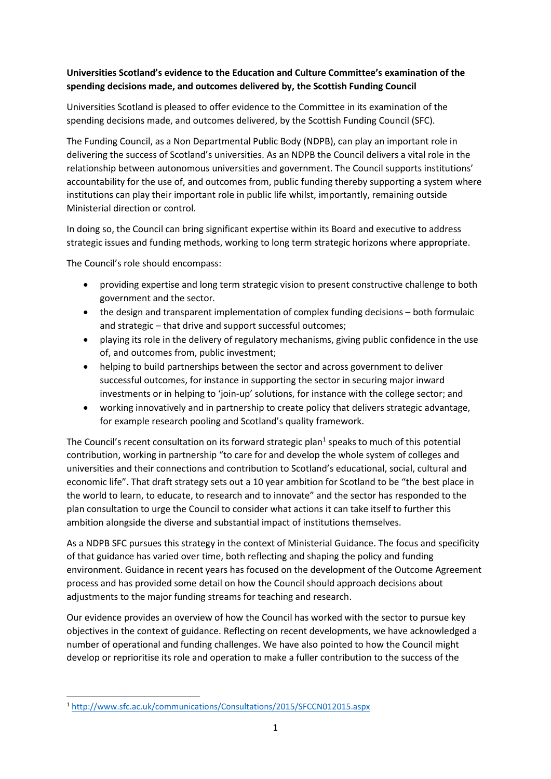### **Universities Scotland's evidence to the Education and Culture Committee's examination of the spending decisions made, and outcomes delivered by, the Scottish Funding Council**

Universities Scotland is pleased to offer evidence to the Committee in its examination of the spending decisions made, and outcomes delivered, by the Scottish Funding Council (SFC).

The Funding Council, as a Non Departmental Public Body (NDPB), can play an important role in delivering the success of Scotland's universities. As an NDPB the Council delivers a vital role in the relationship between autonomous universities and government. The Council supports institutions' accountability for the use of, and outcomes from, public funding thereby supporting a system where institutions can play their important role in public life whilst, importantly, remaining outside Ministerial direction or control.

In doing so, the Council can bring significant expertise within its Board and executive to address strategic issues and funding methods, working to long term strategic horizons where appropriate.

The Council's role should encompass:

- providing expertise and long term strategic vision to present constructive challenge to both government and the sector.
- the design and transparent implementation of complex funding decisions both formulaic and strategic – that drive and support successful outcomes;
- playing its role in the delivery of regulatory mechanisms, giving public confidence in the use of, and outcomes from, public investment;
- helping to build partnerships between the sector and across government to deliver successful outcomes, for instance in supporting the sector in securing major inward investments or in helping to 'join-up' solutions, for instance with the college sector; and
- working innovatively and in partnership to create policy that delivers strategic advantage, for example research pooling and Scotland's quality framework.

The Council's recent consultation on its forward strategic plan<sup>1</sup> speaks to much of this potential contribution, working in partnership "to care for and develop the whole system of colleges and universities and their connections and contribution to Scotland's educational, social, cultural and economic life". That draft strategy sets out a 10 year ambition for Scotland to be "the best place in the world to learn, to educate, to research and to innovate" and the sector has responded to the plan consultation to urge the Council to consider what actions it can take itself to further this ambition alongside the diverse and substantial impact of institutions themselves.

As a NDPB SFC pursues this strategy in the context of Ministerial Guidance. The focus and specificity of that guidance has varied over time, both reflecting and shaping the policy and funding environment. Guidance in recent years has focused on the development of the Outcome Agreement process and has provided some detail on how the Council should approach decisions about adjustments to the major funding streams for teaching and research.

Our evidence provides an overview of how the Council has worked with the sector to pursue key objectives in the context of guidance. Reflecting on recent developments, we have acknowledged a number of operational and funding challenges. We have also pointed to how the Council might develop or reprioritise its role and operation to make a fuller contribution to the success of the

<sup>1</sup> <http://www.sfc.ac.uk/communications/Consultations/2015/SFCCN012015.aspx>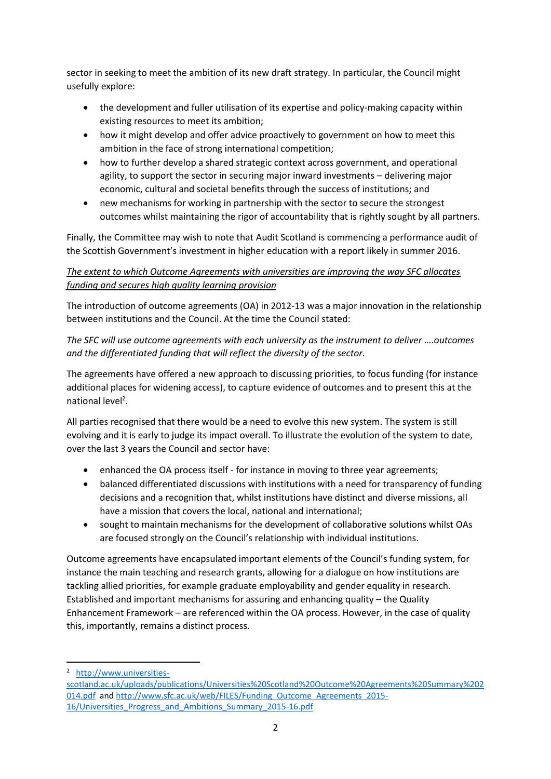sector in seeking to meet the ambition of its new draft strategy. In particular, the Council might usefully explore:

- the development and fuller utilisation of its expertise and policy-making capacity within existing resources to meet its ambition;
- how it might develop and offer advice proactively to government on how to meet this ambition in the face of strong international competition;
- how to further develop a shared strategic context across government, and operational agility, to support the sector in securing major inward investments – delivering major economic, cultural and societal benefits through the success of institutions; and
- new mechanisms for working in partnership with the sector to secure the strongest outcomes whilst maintaining the rigor of accountability that is rightly sought by all partners.

Finally, the Committee may wish to note that Audit Scotland is commencing a performance audit of the Scottish Government's investment in higher education with a report likely in summer 2016.

# *The extent to which Outcome Agreements with universities are improving the way SFC allocates funding and secures high quality learning provision*

The introduction of outcome agreements (OA) in 2012-13 was a major innovation in the relationship between institutions and the Council. At the time the Council stated:

*The SFC will use outcome agreements with each university as the instrument to deliver ….outcomes and the differentiated funding that will reflect the diversity of the sector.* 

The agreements have offered a new approach to discussing priorities, to focus funding (for instance additional places for widening access), to capture evidence of outcomes and to present this at the national level<sup>2</sup>.

All parties recognised that there would be a need to evolve this new system. The system is still evolving and it is early to judge its impact overall. To illustrate the evolution of the system to date, over the last 3 years the Council and sector have:

- enhanced the OA process itself for instance in moving to three year agreements;
- balanced differentiated discussions with institutions with a need for transparency of funding decisions and a recognition that, whilst institutions have distinct and diverse missions, all have a mission that covers the local, national and international;
- sought to maintain mechanisms for the development of collaborative solutions whilst OAs are focused strongly on the Council's relationship with individual institutions.

Outcome agreements have encapsulated important elements of the Council's funding system, for instance the main teaching and research grants, allowing for a dialogue on how institutions are tackling allied priorities, for example graduate employability and gender equality in research. Established and important mechanisms for assuring and enhancing quality – the Quality Enhancement Framework – are referenced within the OA process. However, in the case of quality this, importantly, remains a distinct process.

<sup>2</sup> [http://www.universities-](http://www.universities-scotland.ac.uk/uploads/publications/Universities%20Scotland%20Outcome%20Agreements%20Summary%202014.pdf)

[scotland.ac.uk/uploads/publications/Universities%20Scotland%20Outcome%20Agreements%20Summary%202](http://www.universities-scotland.ac.uk/uploads/publications/Universities%20Scotland%20Outcome%20Agreements%20Summary%202014.pdf) [014.pdf](http://www.universities-scotland.ac.uk/uploads/publications/Universities%20Scotland%20Outcome%20Agreements%20Summary%202014.pdf) an[d http://www.sfc.ac.uk/web/FILES/Funding\\_Outcome\\_Agreements\\_2015-](http://www.sfc.ac.uk/web/FILES/Funding_Outcome_Agreements_2015-16/Universities_Progress_and_Ambitions_Summary_2015-16.pdf) [16/Universities\\_Progress\\_and\\_Ambitions\\_Summary\\_2015-16.pdf](http://www.sfc.ac.uk/web/FILES/Funding_Outcome_Agreements_2015-16/Universities_Progress_and_Ambitions_Summary_2015-16.pdf)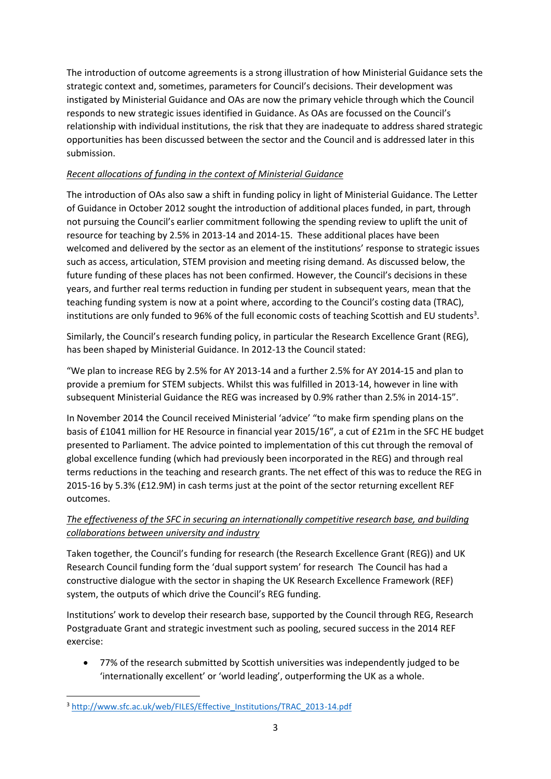The introduction of outcome agreements is a strong illustration of how Ministerial Guidance sets the strategic context and, sometimes, parameters for Council's decisions. Their development was instigated by Ministerial Guidance and OAs are now the primary vehicle through which the Council responds to new strategic issues identified in Guidance. As OAs are focussed on the Council's relationship with individual institutions, the risk that they are inadequate to address shared strategic opportunities has been discussed between the sector and the Council and is addressed later in this submission.

### *Recent allocations of funding in the context of Ministerial Guidance*

The introduction of OAs also saw a shift in funding policy in light of Ministerial Guidance. The Letter of Guidance in October 2012 sought the introduction of additional places funded, in part, through not pursuing the Council's earlier commitment following the spending review to uplift the unit of resource for teaching by 2.5% in 2013-14 and 2014-15. These additional places have been welcomed and delivered by the sector as an element of the institutions' response to strategic issues such as access, articulation, STEM provision and meeting rising demand. As discussed below, the future funding of these places has not been confirmed. However, the Council's decisions in these years, and further real terms reduction in funding per student in subsequent years, mean that the teaching funding system is now at a point where, according to the Council's costing data (TRAC), institutions are only funded to 96% of the full economic costs of teaching Scottish and EU students<sup>3</sup>.

Similarly, the Council's research funding policy, in particular the Research Excellence Grant (REG), has been shaped by Ministerial Guidance. In 2012-13 the Council stated:

"We plan to increase REG by 2.5% for AY 2013-14 and a further 2.5% for AY 2014-15 and plan to provide a premium for STEM subjects. Whilst this was fulfilled in 2013-14, however in line with subsequent Ministerial Guidance the REG was increased by 0.9% rather than 2.5% in 2014-15".

In November 2014 the Council received Ministerial 'advice' "to make firm spending plans on the basis of £1041 million for HE Resource in financial year 2015/16", a cut of £21m in the SFC HE budget presented to Parliament. The advice pointed to implementation of this cut through the removal of global excellence funding (which had previously been incorporated in the REG) and through real terms reductions in the teaching and research grants. The net effect of this was to reduce the REG in 2015-16 by 5.3% (£12.9M) in cash terms just at the point of the sector returning excellent REF outcomes.

# *The effectiveness of the SFC in securing an internationally competitive research base, and building collaborations between university and industry*

Taken together, the Council's funding for research (the Research Excellence Grant (REG)) and UK Research Council funding form the 'dual support system' for research The Council has had a constructive dialogue with the sector in shaping the UK Research Excellence Framework (REF) system, the outputs of which drive the Council's REG funding.

Institutions' work to develop their research base, supported by the Council through REG, Research Postgraduate Grant and strategic investment such as pooling, secured success in the 2014 REF exercise:

 77% of the research submitted by Scottish universities was independently judged to be 'internationally excellent' or 'world leading', outperforming the UK as a whole.

**<sup>.</sup>** <sup>3</sup> [http://www.sfc.ac.uk/web/FILES/Effective\\_Institutions/TRAC\\_2013-14.pdf](http://www.sfc.ac.uk/web/FILES/Effective_Institutions/TRAC_2013-14.pdf)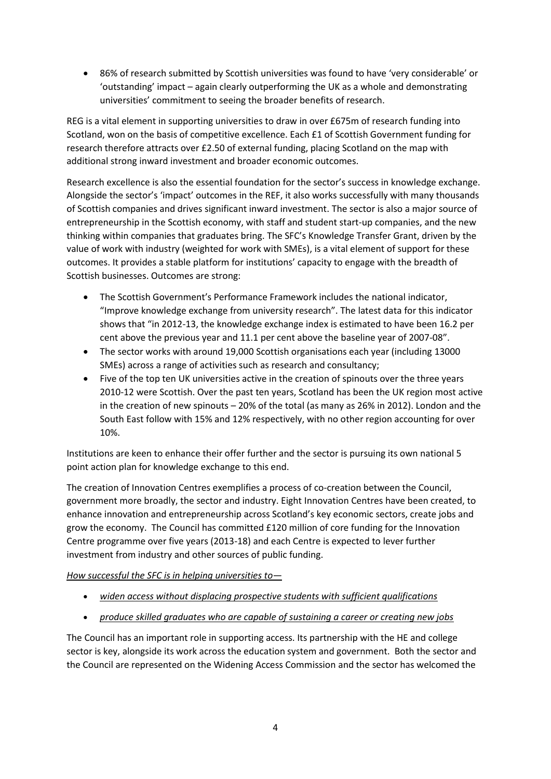86% of research submitted by Scottish universities was found to have 'very considerable' or 'outstanding' impact – again clearly outperforming the UK as a whole and demonstrating universities' commitment to seeing the broader benefits of research.

REG is a vital element in supporting universities to draw in over £675m of research funding into Scotland, won on the basis of competitive excellence. Each £1 of Scottish Government funding for research therefore attracts over £2.50 of external funding, placing Scotland on the map with additional strong inward investment and broader economic outcomes.

Research excellence is also the essential foundation for the sector's success in knowledge exchange. Alongside the sector's 'impact' outcomes in the REF, it also works successfully with many thousands of Scottish companies and drives significant inward investment. The sector is also a major source of entrepreneurship in the Scottish economy, with staff and student start-up companies, and the new thinking within companies that graduates bring. The SFC's Knowledge Transfer Grant, driven by the value of work with industry (weighted for work with SMEs), is a vital element of support for these outcomes. It provides a stable platform for institutions' capacity to engage with the breadth of Scottish businesses. Outcomes are strong:

- The Scottish Government's Performance Framework includes the national indicator, "Improve knowledge exchange from university research". The latest data for this indicator shows that "in 2012-13, the knowledge exchange index is estimated to have been 16.2 per cent above the previous year and 11.1 per cent above the baseline year of 2007-08".
- The sector works with around 19,000 Scottish organisations each year (including 13000 SMEs) across a range of activities such as research and consultancy;
- Five of the top ten UK universities active in the creation of spinouts over the three years 2010-12 were Scottish. Over the past ten years, Scotland has been the UK region most active in the creation of new spinouts – 20% of the total (as many as 26% in 2012). London and the South East follow with 15% and 12% respectively, with no other region accounting for over 10%.

Institutions are keen to enhance their offer further and the sector is pursuing its own national 5 point action plan for knowledge exchange to this end.

The creation of Innovation Centres exemplifies a process of co-creation between the Council, government more broadly, the sector and industry. Eight Innovation Centres have been created, to enhance innovation and entrepreneurship across Scotland's key economic sectors, create jobs and grow the economy. The Council has committed £120 million of core funding for the Innovation Centre programme over five years (2013-18) and each Centre is expected to lever further investment from industry and other sources of public funding.

### *How successful the SFC is in helping universities to—*

- *widen access without displacing prospective students with sufficient qualifications*
- *produce skilled graduates who are capable of sustaining a career or creating new jobs*

The Council has an important role in supporting access. Its partnership with the HE and college sector is key, alongside its work across the education system and government. Both the sector and the Council are represented on the Widening Access Commission and the sector has welcomed the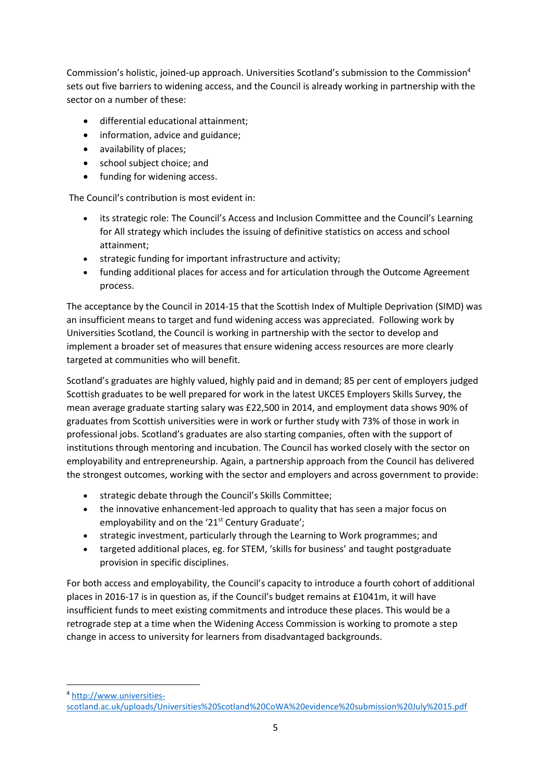Commission's holistic, joined-up approach. Universities Scotland's submission to the Commission<sup>4</sup> sets out five barriers to widening access, and the Council is already working in partnership with the sector on a number of these:

- differential educational attainment;
- information, advice and guidance;
- availability of places;
- school subject choice; and
- funding for widening access.

The Council's contribution is most evident in:

- its strategic role: The Council's Access and Inclusion Committee and the Council's Learning for All strategy which includes the issuing of definitive statistics on access and school attainment;
- strategic funding for important infrastructure and activity;
- funding additional places for access and for articulation through the Outcome Agreement process.

The acceptance by the Council in 2014-15 that the Scottish Index of Multiple Deprivation (SIMD) was an insufficient means to target and fund widening access was appreciated. Following work by Universities Scotland, the Council is working in partnership with the sector to develop and implement a broader set of measures that ensure widening access resources are more clearly targeted at communities who will benefit.

Scotland's graduates are highly valued, highly paid and in demand; 85 per cent of employers judged Scottish graduates to be well prepared for work in the latest UKCES Employers Skills Survey, the mean average graduate starting salary was £22,500 in 2014, and employment data shows 90% of graduates from Scottish universities were in work or further study with 73% of those in work in professional jobs. Scotland's graduates are also starting companies, often with the support of institutions through mentoring and incubation. The Council has worked closely with the sector on employability and entrepreneurship. Again, a partnership approach from the Council has delivered the strongest outcomes, working with the sector and employers and across government to provide:

- strategic debate through the Council's Skills Committee;
- the innovative enhancement-led approach to quality that has seen a major focus on employability and on the '21<sup>st</sup> Century Graduate';
- strategic investment, particularly through the Learning to Work programmes; and
- targeted additional places, eg. for STEM, 'skills for business' and taught postgraduate provision in specific disciplines.

For both access and employability, the Council's capacity to introduce a fourth cohort of additional places in 2016-17 is in question as, if the Council's budget remains at £1041m, it will have insufficient funds to meet existing commitments and introduce these places. This would be a retrograde step at a time when the Widening Access Commission is working to promote a step change in access to university for learners from disadvantaged backgrounds.

<sup>4</sup> [http://www.universities-](http://www.universities-scotland.ac.uk/uploads/Universities%20Scotland%20CoWA%20evidence%20submission%20July%2015.pdf)

[scotland.ac.uk/uploads/Universities%20Scotland%20CoWA%20evidence%20submission%20July%2015.pdf](http://www.universities-scotland.ac.uk/uploads/Universities%20Scotland%20CoWA%20evidence%20submission%20July%2015.pdf)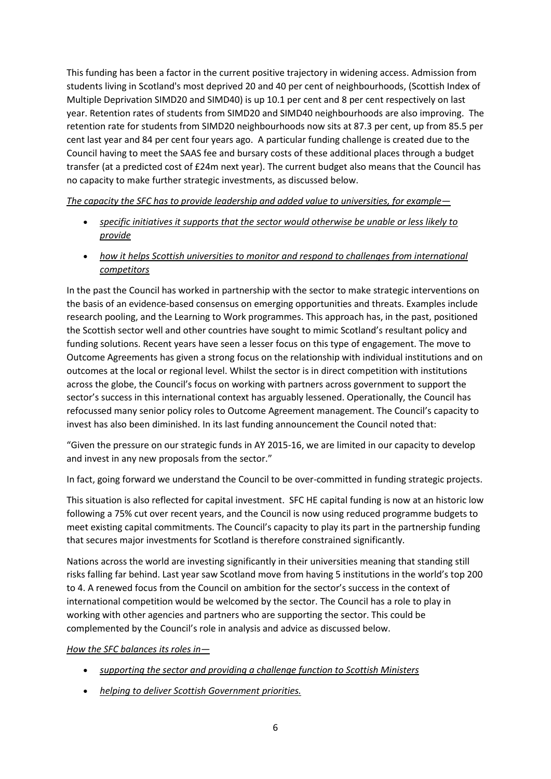This funding has been a factor in the current positive trajectory in widening access. Admission from students living in Scotland's most deprived 20 and 40 per cent of neighbourhoods, (Scottish Index of Multiple Deprivation SIMD20 and SIMD40) is up 10.1 per cent and 8 per cent respectively on last year. Retention rates of students from SIMD20 and SIMD40 neighbourhoods are also improving. The retention rate for students from SIMD20 neighbourhoods now sits at 87.3 per cent, up from 85.5 per cent last year and 84 per cent four years ago. A particular funding challenge is created due to the Council having to meet the SAAS fee and bursary costs of these additional places through a budget transfer (at a predicted cost of £24m next year). The current budget also means that the Council has no capacity to make further strategic investments, as discussed below.

### *The capacity the SFC has to provide leadership and added value to universities, for example—*

- *specific initiatives it supports that the sector would otherwise be unable or less likely to provide*
- *how it helps Scottish universities to monitor and respond to challenges from international competitors*

In the past the Council has worked in partnership with the sector to make strategic interventions on the basis of an evidence-based consensus on emerging opportunities and threats. Examples include research pooling, and the Learning to Work programmes. This approach has, in the past, positioned the Scottish sector well and other countries have sought to mimic Scotland's resultant policy and funding solutions. Recent years have seen a lesser focus on this type of engagement. The move to Outcome Agreements has given a strong focus on the relationship with individual institutions and on outcomes at the local or regional level. Whilst the sector is in direct competition with institutions across the globe, the Council's focus on working with partners across government to support the sector's success in this international context has arguably lessened. Operationally, the Council has refocussed many senior policy roles to Outcome Agreement management. The Council's capacity to invest has also been diminished. In its last funding announcement the Council noted that:

"Given the pressure on our strategic funds in AY 2015-16, we are limited in our capacity to develop and invest in any new proposals from the sector."

In fact, going forward we understand the Council to be over-committed in funding strategic projects.

This situation is also reflected for capital investment. SFC HE capital funding is now at an historic low following a 75% cut over recent years, and the Council is now using reduced programme budgets to meet existing capital commitments. The Council's capacity to play its part in the partnership funding that secures major investments for Scotland is therefore constrained significantly.

Nations across the world are investing significantly in their universities meaning that standing still risks falling far behind. Last year saw Scotland move from having 5 institutions in the world's top 200 to 4. A renewed focus from the Council on ambition for the sector's success in the context of international competition would be welcomed by the sector. The Council has a role to play in working with other agencies and partners who are supporting the sector. This could be complemented by the Council's role in analysis and advice as discussed below.

### *How the SFC balances its roles in—*

- *supporting the sector and providing a challenge function to Scottish Ministers*
- *helping to deliver Scottish Government priorities.*